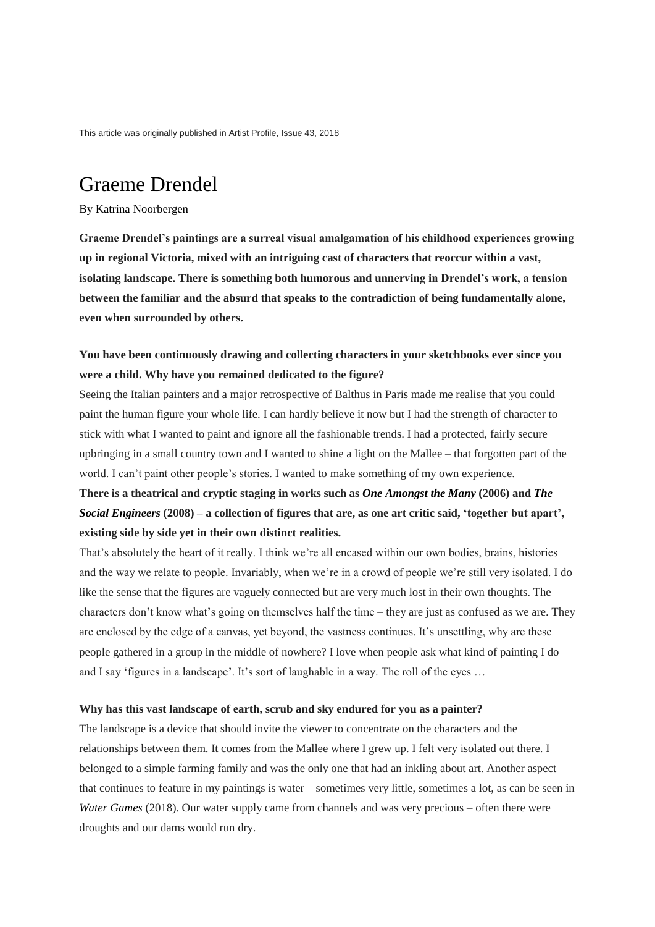This article was originally published in Artist Profile, Issue 43, 2018

# Graeme Drendel

#### By Katrina Noorbergen

**Graeme Drendel's paintings are a surreal visual amalgamation of his childhood experiences growing up in regional Victoria, mixed with an intriguing cast of characters that reoccur within a vast, isolating landscape. There is something both humorous and unnerving in Drendel's work, a tension between the familiar and the absurd that speaks to the contradiction of being fundamentally alone, even when surrounded by others.**

## **You have been continuously drawing and collecting characters in your sketchbooks ever since you were a child. Why have you remained dedicated to the figure?**

Seeing the Italian painters and a major retrospective of Balthus in Paris made me realise that you could paint the human figure your whole life. I can hardly believe it now but I had the strength of character to stick with what I wanted to paint and ignore all the fashionable trends. I had a protected, fairly secure upbringing in a small country town and I wanted to shine a light on the Mallee – that forgotten part of the world. I can't paint other people's stories. I wanted to make something of my own experience.

## **There is a theatrical and cryptic staging in works such as** *One Amongst the Many* **(2006) and** *The Social Engineers* **(2008) – a collection of figures that are, as one art critic said, 'together but apart', existing side by side yet in their own distinct realities.**

That's absolutely the heart of it really. I think we're all encased within our own bodies, brains, histories and the way we relate to people. Invariably, when we're in a crowd of people we're still very isolated. I do like the sense that the figures are vaguely connected but are very much lost in their own thoughts. The characters don't know what's going on themselves half the time – they are just as confused as we are. They are enclosed by the edge of a canvas, yet beyond, the vastness continues. It's unsettling, why are these people gathered in a group in the middle of nowhere? I love when people ask what kind of painting I do and I say 'figures in a landscape'. It's sort of laughable in a way. The roll of the eyes ...

#### **Why has this vast landscape of earth, scrub and sky endured for you as a painter?**

The landscape is a device that should invite the viewer to concentrate on the characters and the relationships between them. It comes from the Mallee where I grew up. I felt very isolated out there. I belonged to a simple farming family and was the only one that had an inkling about art. Another aspect that continues to feature in my paintings is water – sometimes very little, sometimes a lot, as can be seen in *Water Games (2018)*. Our water supply came from channels and was very precious – often there were droughts and our dams would run dry.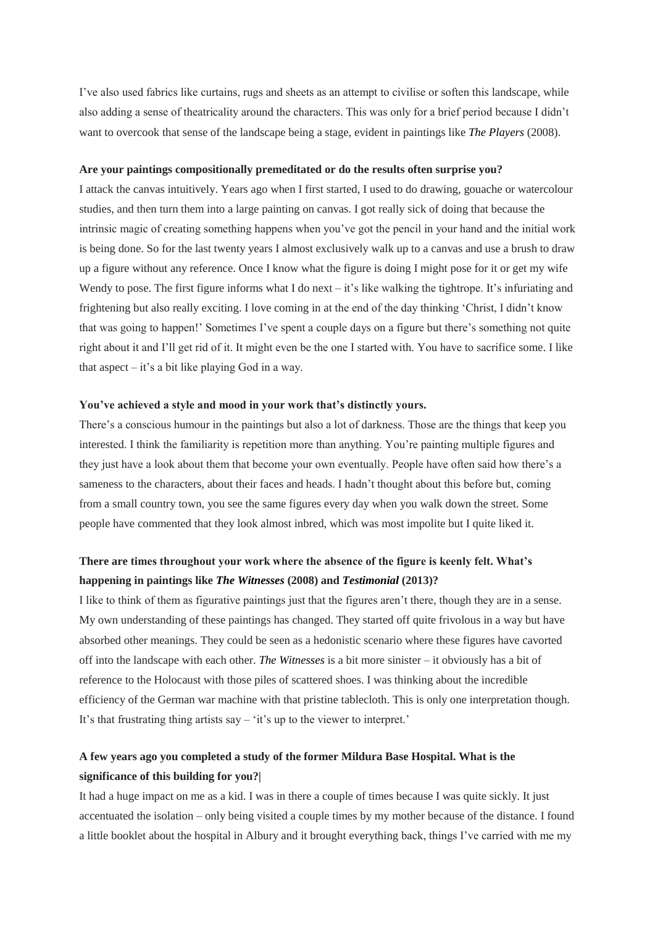I've also used fabrics like curtains, rugs and sheets as an attempt to civilise or soften this landscape, while also adding a sense of theatricality around the characters. This was only for a brief period because I didn't want to overcook that sense of the landscape being a stage, evident in paintings like *The Players* (2008).

#### **Are your paintings compositionally premeditated or do the results often surprise you?**

I attack the canvas intuitively. Years ago when I first started, I used to do drawing, gouache or watercolour studies, and then turn them into a large painting on canvas. I got really sick of doing that because the intrinsic magic of creating something happens when you've got the pencil in your hand and the initial work is being done. So for the last twenty years I almost exclusively walk up to a canvas and use a brush to draw up a figure without any reference. Once I know what the figure is doing I might pose for it or get my wife Wendy to pose. The first figure informs what I do next – it's like walking the tightrope. It's infuriating and frightening but also really exciting. I love coming in at the end of the day thinking 'Christ, I didn't know that was going to happen!' Sometimes I've spent a couple days on a figure but there's something not quite right about it and I'll get rid of it. It might even be the one I started with. You have to sacrifice some. I like that aspect – it's a bit like playing God in a way.

#### **You've achieved a style and mood in your work that's distinctly yours.**

There's a conscious humour in the paintings but also a lot of darkness. Those are the things that keep you interested. I think the familiarity is repetition more than anything. You're painting multiple figures and they just have a look about them that become your own eventually. People have often said how there's a sameness to the characters, about their faces and heads. I hadn't thought about this before but, coming from a small country town, you see the same figures every day when you walk down the street. Some people have commented that they look almost inbred, which was most impolite but I quite liked it.

### **There are times throughout your work where the absence of the figure is keenly felt. What's happening in paintings like** *The Witnesses* **(2008) and** *Testimonial* **(2013)?**

I like to think of them as figurative paintings just that the figures aren't there, though they are in a sense. My own understanding of these paintings has changed. They started off quite frivolous in a way but have absorbed other meanings. They could be seen as a hedonistic scenario where these figures have cavorted off into the landscape with each other. *The Witnesses* is a bit more sinister – it obviously has a bit of reference to the Holocaust with those piles of scattered shoes. I was thinking about the incredible efficiency of the German war machine with that pristine tablecloth. This is only one interpretation though. It's that frustrating thing artists say – 'it's up to the viewer to interpret.'

## **A few years ago you completed a study of the former Mildura Base Hospital. What is the significance of this building for you?|**

It had a huge impact on me as a kid. I was in there a couple of times because I was quite sickly. It just accentuated the isolation – only being visited a couple times by my mother because of the distance. I found a little booklet about the hospital in Albury and it brought everything back, things I've carried with me my